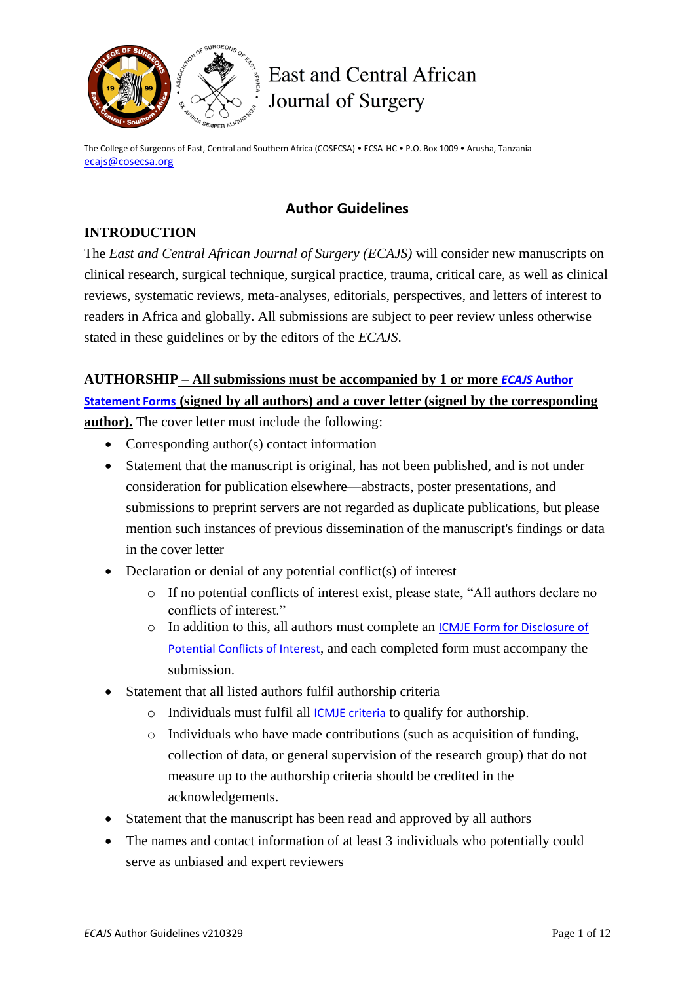

# $\mathbb{R}_{\frac{3}{2}}$  East and Central African Journal of Surgery

The College of Surgeons of East, Central and Southern Africa (COSECSA) • ECSA-HC • P.O. Box 1009 • Arusha, Tanzania [ecajs@cosecsa.org](mailto:ecajs@cosecsa.org)

# **Author Guidelines**

# **INTRODUCTION**

The *East and Central African Journal of Surgery (ECAJS)* will consider new manuscripts on clinical research, surgical technique, surgical practice, trauma, critical care, as well as clinical reviews, systematic reviews, meta-analyses, editorials, perspectives, and letters of interest to readers in Africa and globally. All submissions are subject to peer review unless otherwise stated in these guidelines or by the editors of the *ECAJS*.

# **AUTHORSHIP – All submissions must be accompanied by 1 or more** *ECAJS* **[Author](http://journal.cosecsa.org/public/forms-guidelines/ecajs-author-statement-form-v190115.pdf)  [Statement Forms](http://journal.cosecsa.org/public/forms-guidelines/ecajs-author-statement-form-v190115.pdf) (signed by all authors) and a cover letter (signed by the corresponding author).** The cover letter must include the following:

- Corresponding author(s) contact information
- Statement that the manuscript is original, has not been published, and is not under consideration for publication elsewhere—abstracts, poster presentations, and submissions to preprint servers are not regarded as duplicate publications, but please mention such instances of previous dissemination of the manuscript's findings or data in the cover letter
- Declaration or denial of any potential conflict(s) of interest
	- o If no potential conflicts of interest exist, please state, "All authors declare no conflicts of interest."
	- o In addition to this, all authors must complete an [ICMJE Form for Disclosure of](http://www.icmje.org/conflicts-of-interest/)  [Potential Conflicts of Interest](http://www.icmje.org/conflicts-of-interest/), and each completed form must accompany the submission.
- Statement that all listed authors fulfil authorship criteria
	- o Individuals must fulfil all [ICMJE criteria](http://www.icmje.org/recommendations/browse/roles-and-responsibilities/defining-the-role-of-authors-and-contributors.html) to qualify for authorship.
	- o Individuals who have made contributions (such as acquisition of funding, collection of data, or general supervision of the research group) that do not measure up to the authorship criteria should be credited in the acknowledgements.
- Statement that the manuscript has been read and approved by all authors
- The names and contact information of at least 3 individuals who potentially could serve as unbiased and expert reviewers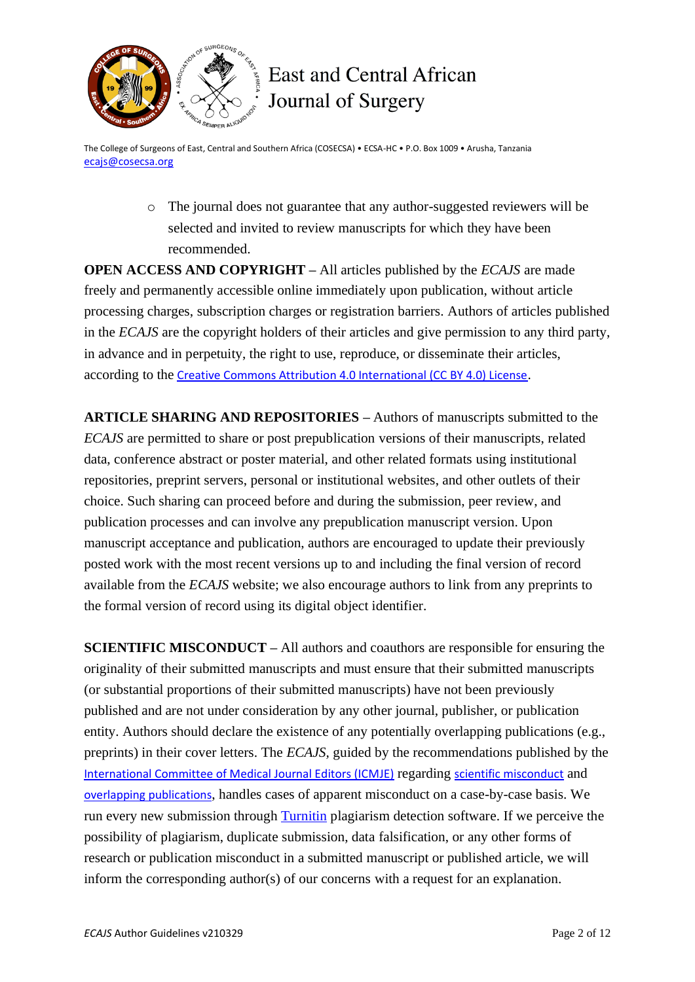

# **East and Central African** Journal of Surgery

The College of Surgeons of East, Central and Southern Africa (COSECSA) • ECSA-HC • P.O. Box 1009 • Arusha, Tanzania [ecajs@cosecsa.org](mailto:ecajs@cosecsa.org)

> o The journal does not guarantee that any author-suggested reviewers will be selected and invited to review manuscripts for which they have been recommended.

**OPEN ACCESS AND COPYRIGHT –** All articles published by the *ECAJS* are made freely and permanently accessible online immediately upon publication, without article processing charges, subscription charges or registration barriers. Authors of articles published in the *ECAJS* are the copyright holders of their articles and give permission to any third party, in advance and in perpetuity, the right to use, reproduce, or disseminate their articles, according to the [Creative Commons Attribution 4.0 International \(CC BY 4.0\) License](https://creativecommons.org/licenses/by/4.0/).

**ARTICLE SHARING AND REPOSITORIES –** Authors of manuscripts submitted to the *ECAJS* are permitted to share or post prepublication versions of their manuscripts, related data, conference abstract or poster material, and other related formats using institutional repositories, preprint servers, personal or institutional websites, and other outlets of their choice. Such sharing can proceed before and during the submission, peer review, and publication processes and can involve any prepublication manuscript version. Upon manuscript acceptance and publication, authors are encouraged to update their previously posted work with the most recent versions up to and including the final version of record available from the *ECAJS* website; we also encourage authors to link from any preprints to the formal version of record using its digital object identifier.

**SCIENTIFIC MISCONDUCT –** All authors and coauthors are responsible for ensuring the originality of their submitted manuscripts and must ensure that their submitted manuscripts (or substantial proportions of their submitted manuscripts) have not been previously published and are not under consideration by any other journal, publisher, or publication entity. Authors should declare the existence of any potentially overlapping publications (e.g., preprints) in their cover letters. The *ECAJS,* guided by the recommendations published by the [International Committee of Medical Journal Editors \(ICMJE\)](http://www.icmje.org/) regarding [scientific misconduct](http://www.icmje.org/recommendations/browse/publishing-and-editorial-issues/scientific-misconduct-expressions-of-concern-and-retraction.html) and [overlapping publications](http://www.icmje.org/recommendations/browse/publishing-and-editorial-issues/overlapping-publications.html), handles cases of apparent misconduct on a case-by-case basis. We run every new submission through [Turnitin](https://www.turnitin.com/) plagiarism detection software. If we perceive the possibility of plagiarism, duplicate submission, data falsification, or any other forms of research or publication misconduct in a submitted manuscript or published article, we will inform the corresponding author(s) of our concerns with a request for an explanation.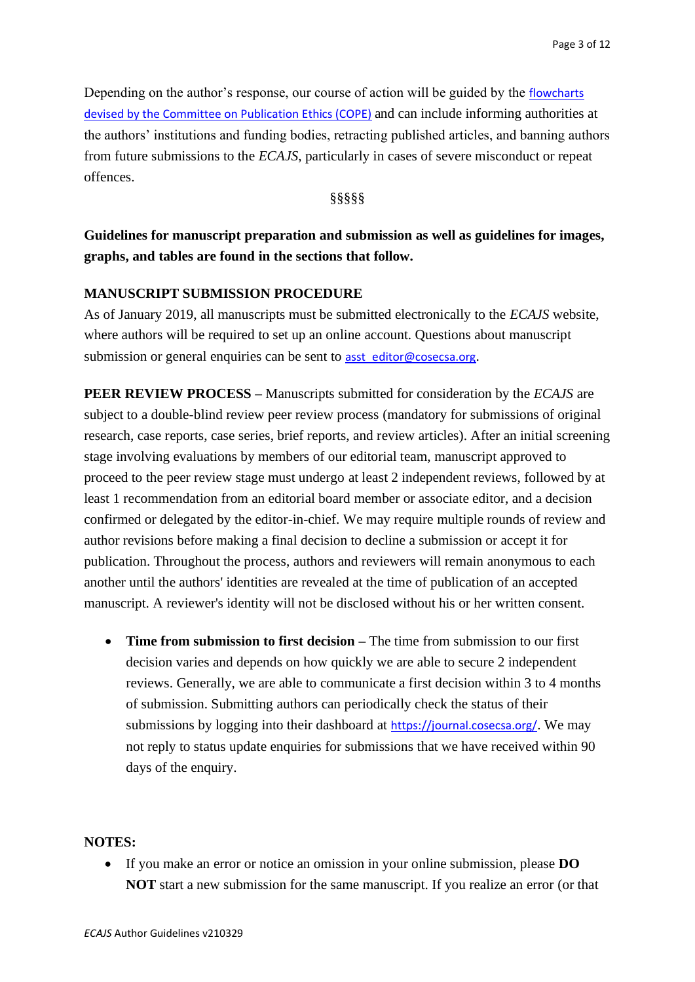Depending on the author's response, our course of action will be guided by the [flowcharts](https://publicationethics.org/guidance/Flowcharts)  devised [by the Committee on Publication Ethics \(COPE\)](https://publicationethics.org/guidance/Flowcharts) and can include informing authorities at the authors' institutions and funding bodies, retracting published articles, and banning authors from future submissions to the *ECAJS*, particularly in cases of severe misconduct or repeat offences.

§§§§§

# **Guidelines for manuscript preparation and submission as well as guidelines for images, graphs, and tables are found in the sections that follow.**

#### **MANUSCRIPT SUBMISSION PROCEDURE**

As of January 2019, all manuscripts must be submitted electronically to the *ECAJS* website, where authors will be required to set up an online account. Questions about manuscript submission or general enquiries can be sent to **[asst\\_editor@cosecsa.org](mailto:asst_editor@cosecsa.org).** 

**PEER REVIEW PROCESS –** Manuscripts submitted for consideration by the *ECAJS* are subject to a double-blind review peer review process (mandatory for submissions of original research, case reports, case series, brief reports, and review articles). After an initial screening stage involving evaluations by members of our editorial team, manuscript approved to proceed to the peer review stage must undergo at least 2 independent reviews, followed by at least 1 recommendation from an editorial board member or associate editor, and a decision confirmed or delegated by the editor-in-chief. We may require multiple rounds of review and author revisions before making a final decision to decline a submission or accept it for publication. Throughout the process, authors and reviewers will remain anonymous to each another until the authors' identities are revealed at the time of publication of an accepted manuscript. A reviewer's identity will not be disclosed without his or her written consent.

• **Time from submission to first decision –** The time from submission to our first decision varies and depends on how quickly we are able to secure 2 independent reviews. Generally, we are able to communicate a first decision within 3 to 4 months of submission. Submitting authors can periodically check the status of their submissions by logging into their dashboard at [https://journal.cosecsa.org/](https://journal.cosecsa.org/index.php/ECAJS/login). We may not reply to status update enquiries for submissions that we have received within 90 days of the enquiry.

#### **NOTES:**

• If you make an error or notice an omission in your online submission, please **DO NOT** start a new submission for the same manuscript. If you realize an error (or that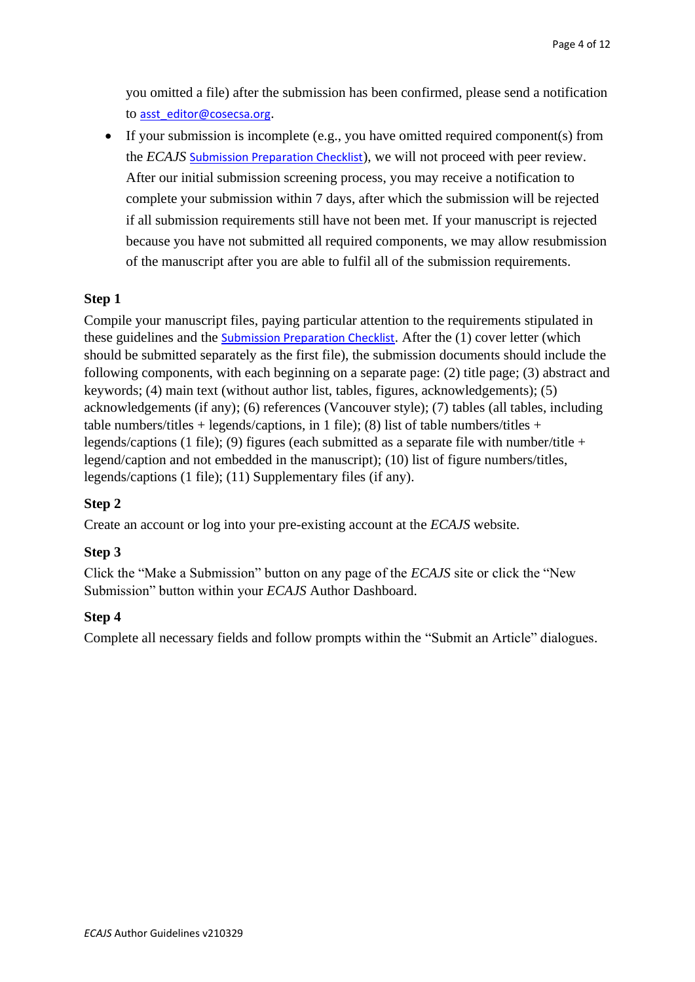you omitted a file) after the submission has been confirmed, please send a notification to [asst\\_editor@cosecsa.org](mailto:asst_editor@cosecsa.org).

• If your submission is incomplete (e.g., you have omitted required component(s) from the *ECAJS* [Submission Preparation Checklist](http://journal.cosecsa.org/public/forms-guidelines/ecajs-submission-checklist-v190115.pdf)), we will not proceed with peer review. After our initial submission screening process, you may receive a notification to complete your submission within 7 days, after which the submission will be rejected if all submission requirements still have not been met. If your manuscript is rejected because you have not submitted all required components, we may allow resubmission of the manuscript after you are able to fulfil all of the submission requirements.

#### **Step 1**

Compile your manuscript files, paying particular attention to the requirements stipulated in these guidelines and the Submission [Preparation Checklist](http://journal.cosecsa.org/public/forms-guidelines/ecajs-submission-checklist-v190115.pdf). After the (1) cover letter (which should be submitted separately as the first file), the submission documents should include the following components, with each beginning on a separate page: (2) title page; (3) abstract and keywords; (4) main text (without author list, tables, figures, acknowledgements); (5) acknowledgements (if any); (6) references (Vancouver style); (7) tables (all tables, including table numbers/titles + legends/captions, in 1 file); (8) list of table numbers/titles + legends/captions (1 file); (9) figures (each submitted as a separate file with number/title + legend/caption and not embedded in the manuscript); (10) list of figure numbers/titles, legends/captions (1 file); (11) Supplementary files (if any).

#### **Step 2**

Create an account or log into your pre-existing account at the *ECAJS* website.

#### **Step 3**

Click the "Make a Submission" button on any page of the *ECAJS* site or click the "New Submission" button within your *ECAJS* Author Dashboard.

#### **Step 4**

Complete all necessary fields and follow prompts within the "Submit an Article" dialogues.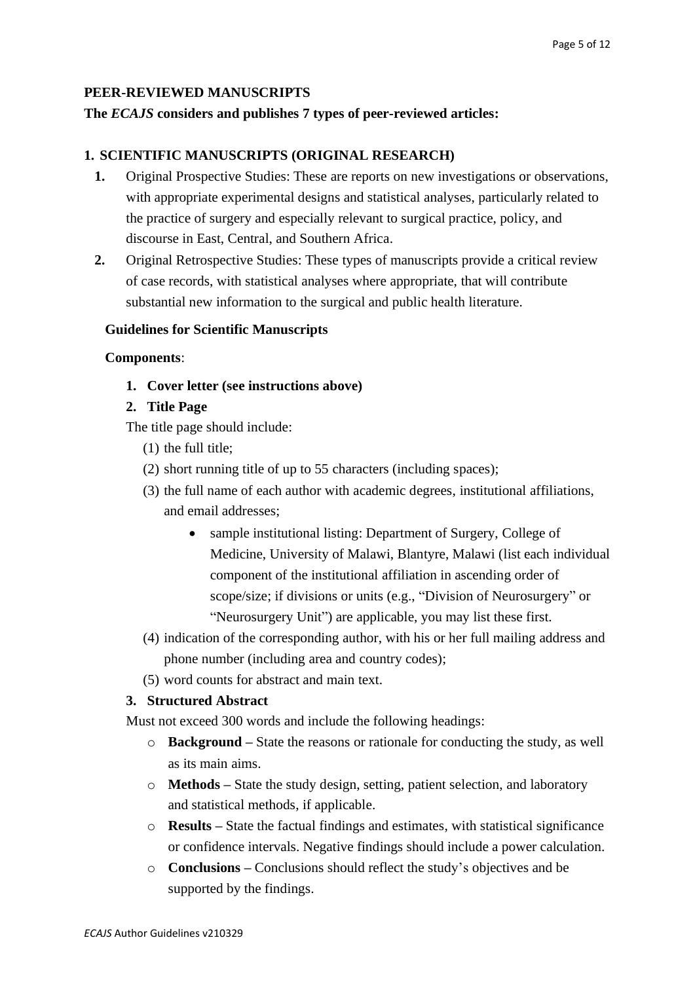#### **PEER-REVIEWED MANUSCRIPTS**

#### **The** *ECAJS* **considers and publishes 7 types of peer-reviewed articles:**

#### **1. SCIENTIFIC MANUSCRIPTS (ORIGINAL RESEARCH)**

- **1.** Original Prospective Studies: These are reports on new investigations or observations, with appropriate experimental designs and statistical analyses, particularly related to the practice of surgery and especially relevant to surgical practice, policy, and discourse in East, Central, and Southern Africa.
- **2.** Original Retrospective Studies: These types of manuscripts provide a critical review of case records, with statistical analyses where appropriate, that will contribute substantial new information to the surgical and public health literature.

#### **Guidelines for Scientific Manuscripts**

#### **Components**:

**1. Cover letter (see instructions above)**

#### **2. Title Page**

The title page should include:

- (1) the full title;
- (2) short running title of up to 55 characters (including spaces);
- (3) the full name of each author with academic degrees, institutional affiliations, and email addresses;
	- sample institutional listing: Department of Surgery, College of Medicine, University of Malawi, Blantyre, Malawi (list each individual component of the institutional affiliation in ascending order of scope/size; if divisions or units (e.g., "Division of Neurosurgery" or "Neurosurgery Unit") are applicable, you may list these first.
- (4) indication of the corresponding author, with his or her full mailing address and phone number (including area and country codes);
- (5) word counts for abstract and main text.

#### **3. Structured Abstract**

Must not exceed 300 words and include the following headings:

- o **Background –** State the reasons or rationale for conducting the study, as well as its main aims.
- o **Methods –** State the study design, setting, patient selection, and laboratory and statistical methods, if applicable.
- o **Results –** State the factual findings and estimates, with statistical significance or confidence intervals. Negative findings should include a power calculation.
- o **Conclusions –** Conclusions should reflect the study's objectives and be supported by the findings.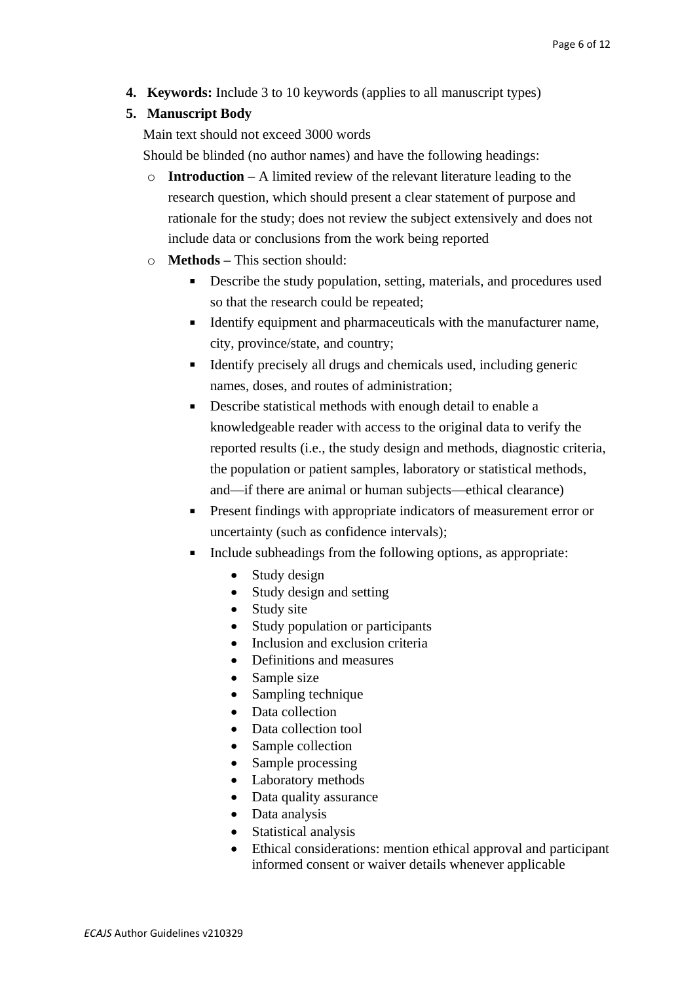**4. Keywords:** Include 3 to 10 keywords (applies to all manuscript types)

# **5. Manuscript Body**

Main text should not exceed 3000 words

Should be blinded (no author names) and have the following headings:

- o **Introduction –** A limited review of the relevant literature leading to the research question, which should present a clear statement of purpose and rationale for the study; does not review the subject extensively and does not include data or conclusions from the work being reported
- o **Methods –** This section should:
	- $\mathbf{u}$  . Describe the study population, setting, materials, and procedures used so that the research could be repeated;
	- Identify equipment and pharmaceuticals with the manufacturer name, city, province/state, and country;
	- $\blacksquare$  Identify precisely all drugs and chemicals used, including generic names, doses, and routes of administration;
	- Describe statistical methods with enough detail to enable a knowledgeable reader with access to the original data to verify the reported results (i.e., the study design and methods, diagnostic criteria, the population or patient samples, laboratory or statistical methods, and—if there are animal or human subjects—ethical clearance)
	- **Present findings with appropriate indicators of measurement error or** uncertainty (such as confidence intervals);
	- $\blacksquare$ Include subheadings from the following options, as appropriate:
		- Study design
		- Study design and setting
		- Study site
		- Study population or participants
		- Inclusion and exclusion criteria
		- Definitions and measures
		- Sample size
		- Sampling technique
		- Data collection
		- Data collection tool
		- Sample collection
		- Sample processing
		- Laboratory methods
		- Data quality assurance
		- Data analysis
		- Statistical analysis
		- Ethical considerations: mention ethical approval and participant informed consent or waiver details whenever applicable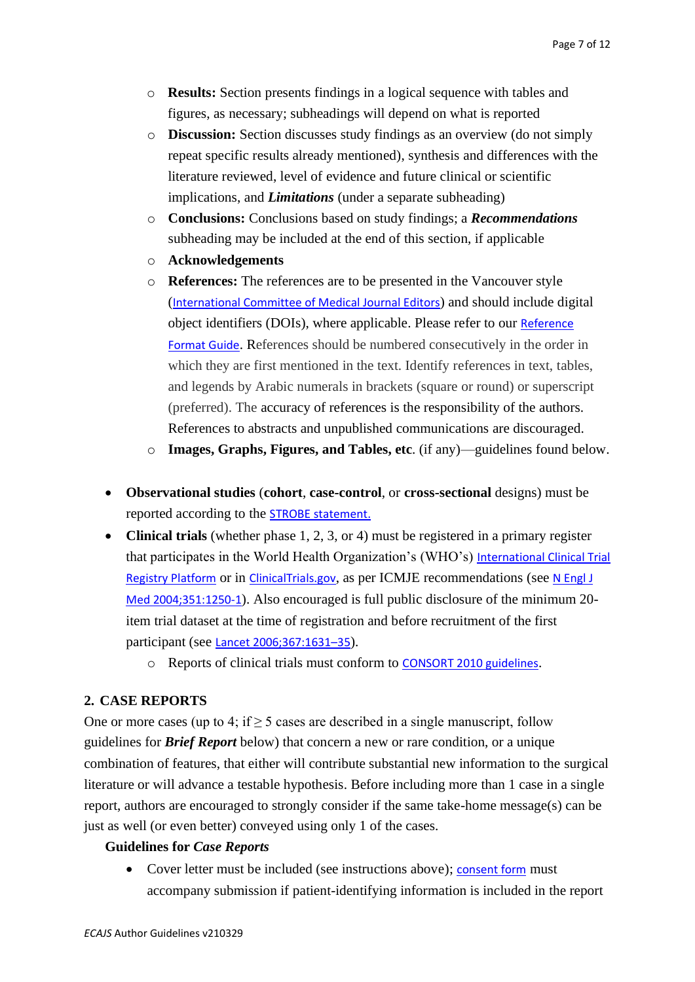- o **Results:** Section presents findings in a logical sequence with tables and figures, as necessary; subheadings will depend on what is reported
- o **Discussion:** Section discusses study findings as an overview (do not simply repeat specific results already mentioned), synthesis and differences with the literature reviewed, level of evidence and future clinical or scientific implications, and *Limitations* (under a separate subheading)
- o **Conclusions:** Conclusions based on study findings; a *Recommendations* subheading may be included at the end of this section, if applicable
- o **Acknowledgements**
- o **References:** The references are to be presented in the Vancouver style ([International Committee of Medical Journal Editors](http://www.icmje.org/recommendations/browse/manuscript-preparation/preparing-for-submission.html#g)) and should include digital object identifiers (DOIs), where applicable. Please refer to our [Reference](http://journal.cosecsa.org/public/forms-guidelines/ref-examples-v180718.pdf)  [Format Guide](http://journal.cosecsa.org/public/forms-guidelines/ref-examples-v180718.pdf). References should be numbered consecutively in the order in which they are first mentioned in the text. Identify references in text, tables, and legends by Arabic numerals in brackets (square or round) or superscript (preferred). The accuracy of references is the responsibility of the authors. References to abstracts and unpublished communications are discouraged.
- o **Images, Graphs, Figures, and Tables, etc**. (if any)—guidelines found below.
- **Observational studies** (**cohort**, **case-control**, or **cross-sectional** designs) must be reported according to the [STROBE statement.](https://www.strobe-statement.org/index.php?id=strobe-home)
- **Clinical trials** (whether phase 1, 2, 3, or 4) must be registered in a primary register that participates in the World Health Organization's (WHO's) International Clinical Trial [Registry Platform](http://www.who.int/ictrp/network/trds/en/) or in [ClinicalTrials.gov](https://clinicaltrials.gov/), as per ICMJE recommendations (see N Engl J [Med 2004;351:1250-1](http://www.nejm.org/doi/full/10.1056/NEJMe048225)). Also encouraged is full public disclosure of the minimum 20 item trial dataset at the time of registration and before recruitment of the first participant (see [Lancet 2006;367:1631](http://www.thelancet.com/journals/lancet/article/PIIS0140-6736(06)68708-4/fulltext)–35).
	- o Reports of clinical trials must conform to [CONSORT 2010 guidelines](http://www.consort-statement.org/consort-2010).

# **2. CASE REPORTS**

One or more cases (up to 4; if  $\geq$  5 cases are described in a single manuscript, follow guidelines for *Brief Report* below) that concern a new or rare condition, or a unique combination of features, that either will contribute substantial new information to the surgical literature or will advance a testable hypothesis. Before including more than 1 case in a single report, authors are encouraged to strongly consider if the same take-home message(s) can be just as well (or even better) conveyed using only 1 of the cases.

#### **Guidelines for** *Case Reports*

• Cover letter must be included (see instructions above); [consent form](http://journal.cosecsa.org/public/forms-guidelines/ecajs-patient-consent-form-v180515.pdf) must accompany submission if patient-identifying information is included in the report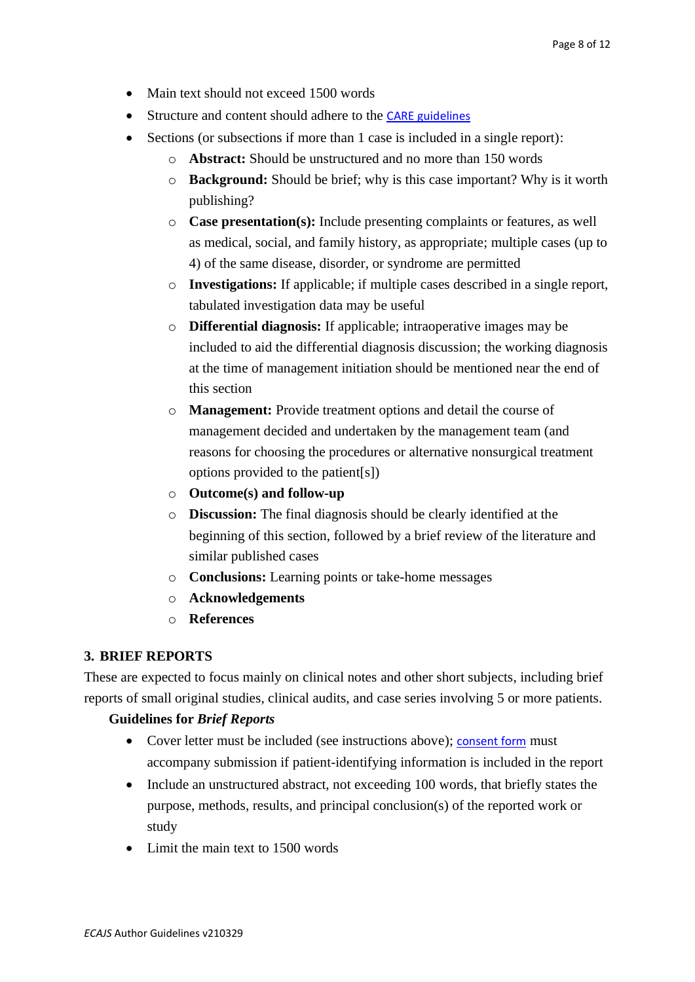- Main text should not exceed 1500 words
- Structure and content should adhere to the [CARE guidelines](https://www.care-statement.org/)
- Sections (or subsections if more than 1 case is included in a single report):
	- o **Abstract:** Should be unstructured and no more than 150 words
	- o **Background:** Should be brief; why is this case important? Why is it worth publishing?
	- o **Case presentation(s):** Include presenting complaints or features, as well as medical, social, and family history, as appropriate; multiple cases (up to 4) of the same disease, disorder, or syndrome are permitted
	- o **Investigations:** If applicable; if multiple cases described in a single report, tabulated investigation data may be useful
	- o **Differential diagnosis:** If applicable; intraoperative images may be included to aid the differential diagnosis discussion; the working diagnosis at the time of management initiation should be mentioned near the end of this section
	- o **Management:** Provide treatment options and detail the course of management decided and undertaken by the management team (and reasons for choosing the procedures or alternative nonsurgical treatment options provided to the patient[s])
	- o **Outcome(s) and follow-up**
	- o **Discussion:** The final diagnosis should be clearly identified at the beginning of this section, followed by a brief review of the literature and similar published cases
	- o **Conclusions:** Learning points or take-home messages
	- o **Acknowledgements**
	- o **References**

#### **3. BRIEF REPORTS**

These are expected to focus mainly on clinical notes and other short subjects, including brief reports of small original studies, clinical audits, and case series involving 5 or more patients.

#### **Guidelines for** *Brief Reports*

- Cover letter must be included (see instructions above); [consent form](http://journal.cosecsa.org/public/forms-guidelines/ecajs-patient-consent-form-v180515.pdf) must accompany submission if patient-identifying information is included in the report
- Include an unstructured abstract, not exceeding 100 words, that briefly states the purpose, methods, results, and principal conclusion(s) of the reported work or study
- Limit the main text to 1500 words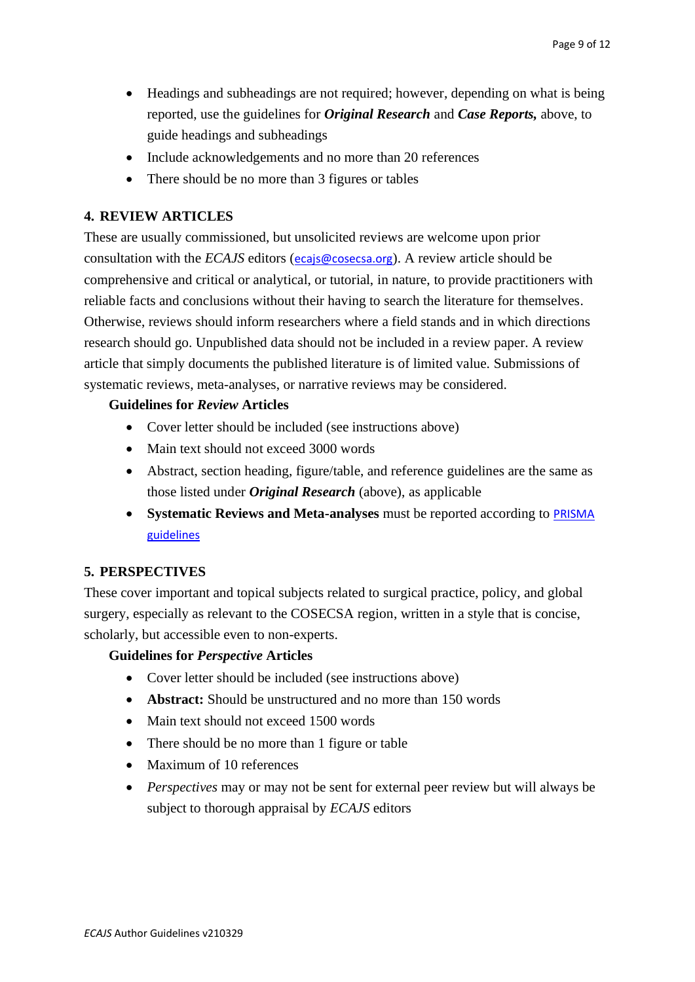- Headings and subheadings are not required; however, depending on what is being reported, use the guidelines for *Original Research* and *Case Reports,* above, to guide headings and subheadings
- Include acknowledgements and no more than 20 references
- There should be no more than 3 figures or tables

# **4. REVIEW ARTICLES**

These are usually commissioned, but unsolicited reviews are welcome upon prior consultation with the *ECAJS* editors ([ecajs@cosecsa.org](mailto:ecajs@cosecsa.org)). A review article should be comprehensive and critical or analytical, or tutorial, in nature, to provide practitioners with reliable facts and conclusions without their having to search the literature for themselves. Otherwise, reviews should inform researchers where a field stands and in which directions research should go. Unpublished data should not be included in a review paper. A review article that simply documents the published literature is of limited value. Submissions of systematic reviews, meta-analyses, or narrative reviews may be considered.

### **Guidelines for** *Review* **Articles**

- Cover letter should be included (see instructions above)
- Main text should not exceed 3000 words
- Abstract, section heading, figure/table, and reference guidelines are the same as those listed under *Original Research* (above), as applicable
- **Systematic Reviews and Meta-analyses** must be reported according to **PRISMA** [guidelines](http://www.prisma-statement.org/)

# **5. PERSPECTIVES**

These cover important and topical subjects related to surgical practice, policy, and global surgery, especially as relevant to the COSECSA region, written in a style that is concise, scholarly, but accessible even to non-experts.

#### **Guidelines for** *Perspective* **Articles**

- Cover letter should be included (see instructions above)
- **Abstract:** Should be unstructured and no more than 150 words
- Main text should not exceed 1500 words
- There should be no more than 1 figure or table
- Maximum of 10 references
- *Perspectives* may or may not be sent for external peer review but will always be subject to thorough appraisal by *ECAJS* editors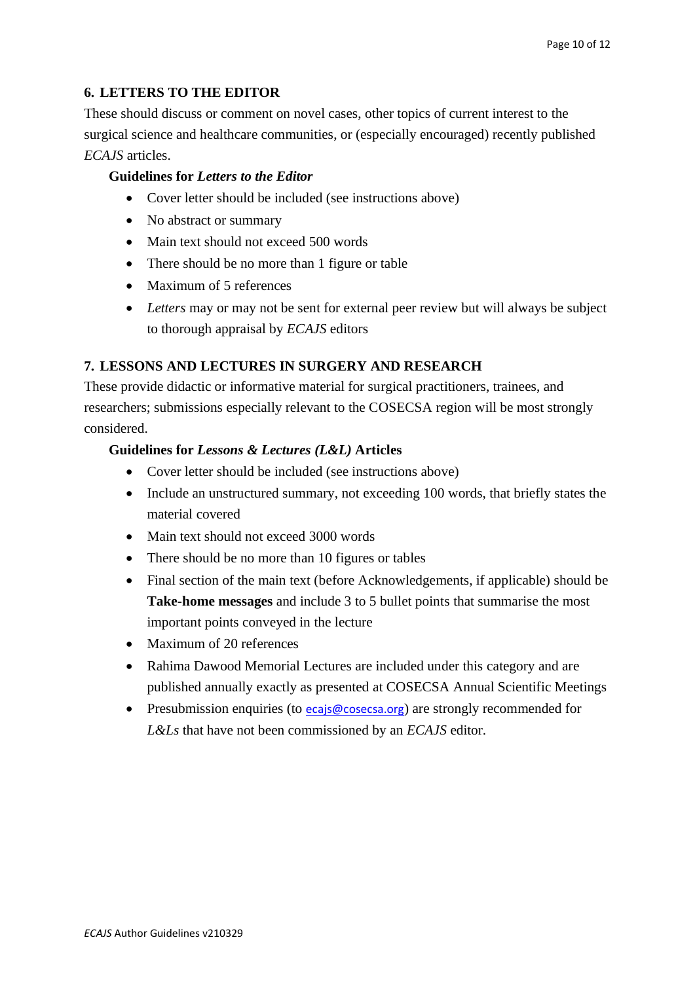# **6. LETTERS TO THE EDITOR**

These should discuss or comment on novel cases, other topics of current interest to the surgical science and healthcare communities, or (especially encouraged) recently published *ECAJS* articles.

#### **Guidelines for** *Letters to the Editor*

- Cover letter should be included (see instructions above)
- No abstract or summary
- Main text should not exceed 500 words
- There should be no more than 1 figure or table
- Maximum of 5 references
- *Letters* may or may not be sent for external peer review but will always be subject to thorough appraisal by *ECAJS* editors

# **7. LESSONS AND LECTURES IN SURGERY AND RESEARCH**

These provide didactic or informative material for surgical practitioners, trainees, and researchers; submissions especially relevant to the COSECSA region will be most strongly considered.

#### **Guidelines for** *Lessons & Lectures (L&L)* **Articles**

- Cover letter should be included (see instructions above)
- Include an unstructured summary, not exceeding 100 words, that briefly states the material covered
- Main text should not exceed 3000 words
- There should be no more than 10 figures or tables
- Final section of the main text (before Acknowledgements, if applicable) should be **Take-home messages** and include 3 to 5 bullet points that summarise the most important points conveyed in the lecture
- Maximum of 20 references
- Rahima Dawood Memorial Lectures are included under this category and are published annually exactly as presented at COSECSA Annual Scientific Meetings
- Presubmission enquiries (to  $ecais@cosecsa.org$ ) are strongly recommended for *L&Ls* that have not been commissioned by an *ECAJS* editor.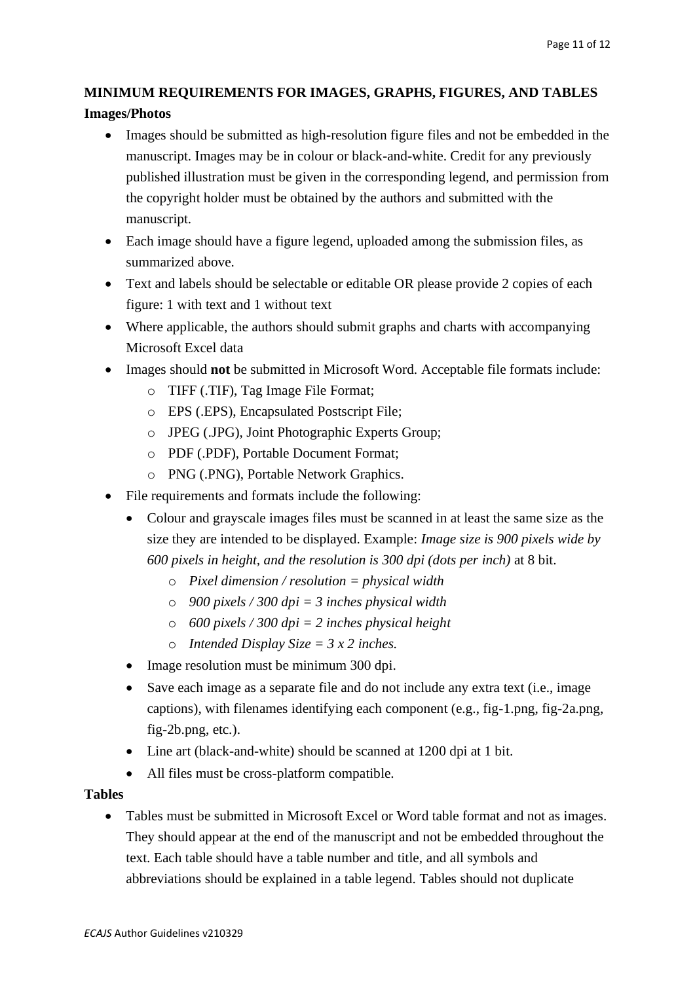# **MINIMUM REQUIREMENTS FOR IMAGES, GRAPHS, FIGURES, AND TABLES**

## **Images/Photos**

- Images should be submitted as high-resolution figure files and not be embedded in the manuscript. Images may be in colour or black-and-white. Credit for any previously published illustration must be given in the corresponding legend, and permission from the copyright holder must be obtained by the authors and submitted with the manuscript.
- Each image should have a figure legend, uploaded among the submission files, as summarized above.
- Text and labels should be selectable or editable OR please provide 2 copies of each figure: 1 with text and 1 without text
- Where applicable, the authors should submit graphs and charts with accompanying Microsoft Excel data
- Images should **not** be submitted in Microsoft Word. Acceptable file formats include:
	- o TIFF (.TIF), Tag Image File Format;
	- o EPS (.EPS), Encapsulated Postscript File;
	- o JPEG (.JPG), Joint Photographic Experts Group;
	- o PDF (.PDF), Portable Document Format;
	- o PNG (.PNG), Portable Network Graphics.
- File requirements and formats include the following:
	- Colour and grayscale images files must be scanned in at least the same size as the size they are intended to be displayed. Example: *Image size is 900 pixels wide by 600 pixels in height, and the resolution is 300 dpi (dots per inch)* at 8 bit.
		- o *Pixel dimension / resolution = physical width*
		- o *900 pixels / 300 dpi = 3 inches physical width*
		- o *600 pixels / 300 dpi = 2 inches physical height*
		- o *Intended Display Size = 3 x 2 inches.*
	- Image resolution must be minimum 300 dpi.
	- Save each image as a separate file and do not include any extra text (*i.e.*, image captions), with filenames identifying each component (e.g., fig-1.png, fig-2a.png, fig-2b.png, etc.).
	- Line art (black-and-white) should be scanned at 1200 dpi at 1 bit.
	- All files must be cross-platform compatible.

#### **Tables**

• Tables must be submitted in Microsoft Excel or Word table format and not as images. They should appear at the end of the manuscript and not be embedded throughout the text. Each table should have a table number and title, and all symbols and abbreviations should be explained in a table legend. Tables should not duplicate